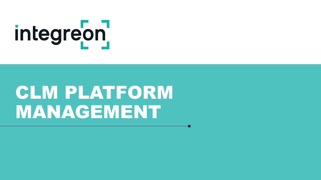# integreon

# CLM PLATFORM MANAGEMENT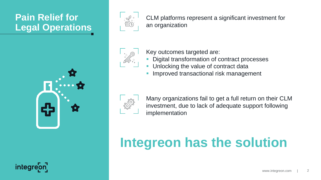# **Pain Relief for Legal Operations**





CLM platforms represent a significant investment for an organization



Key outcomes targeted are:

- Digital transformation of contract processes
- Unlocking the value of contract data
- Improved transactional risk management



Many organizations fail to get a full return on their CLM investment, due to lack of adequate support following implementation

# **Integreon has the solution**

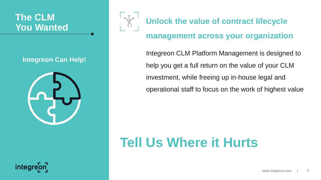# **The CLM**

### **Integreon Can Help!**





# **Vou Wanted Example 2018 Unlock the value of contract lifecycle**

### **management across your organization**

Integreon CLM Platform Management is designed to help you get a full return on the value of your CLM investment, while freeing up in-house legal and operational staff to focus on the work of highest value

# **Tell Us Where it Hurts**

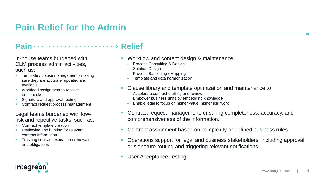# **Pain Relief for the Admin**

### Pain **Pain Pain Relief Relief Relief Relief Relief Relief Relief Relief Relief Relief Relief Relief Relief Relief Relief Relief Relief Relief Relief Relief Relief Relief Reli**

In-house teams burdened with CLM process admin activities, such as:

- **Template / clause management making** sure they are accurate, updated and available
- **Workload assignment to resolve** bottlenecks
- **Signature and approval routing**
- Contract request process management

### Legal teams burdened with lowrisk and repetitive tasks, such as:

Contract template creation

**integre** 

- Reviewing and hunting for relevant contract information
- **Tracking contract expiration / renewals** and obligations
- Workflow and content design & maintenance:
	- Process Consulting & Design
	- Solution Design
	- Process Baselining / Mapping
	- Template and data harmonization
- Clause library and template optimization and maintenance to:
	- Accelerate contract drafting and review
	- Empower business units by embedding knowledge
	- Enable legal to focus on higher value, higher risk work
- Contract request management, ensuring completeness, accuracy, and comprehensiveness of the information.
- Contract assignment based on complexity or defined business rules
- Operations support for legal and business stakeholders, including approval or signature routing and triggering relevant notifications
- **User Acceptance Testing**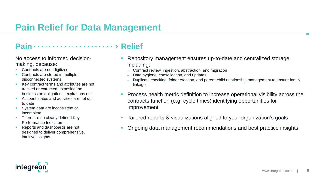# **Pain Relief for Data Management**

### Pain **Pain Pain Relief Relief Relief Relief Relief Relief Relief Relief Relief Relief Relief Relief Relief Relief Relief Relief Relief Relief Relief Relief Relief Relief Reli**

No access to informed decisionmaking, because:

- Contracts are not digitized
- Contracts are stored in multiple, disconnected systems
- Key contract terms and attributes are not tracked or extracted, exposing the business on obligations, expirations etc.
- Account status and activities are not up to date
- System data are inconsistent or incomplete
- There are no clearly defined Key Performance Indicators
- Reports and dashboards are not designed to deliver comprehensive, intuitive insights
- Repository management ensures up-to-date and centralized storage, including:
	- Contract review, ingestion, abstraction, and migration
	- Data hygiene, consolidation, and updates
	- Duplicate checking, folder creation, and parent-child relationship management to ensure family linkage
- **Process health metric definition to increase operational visibility across the** contracts function (e.g. cycle times) identifying opportunities for improvement
- Tailored reports & visualizations aligned to your organization's goals
- Ongoing data management recommendations and best practice insights

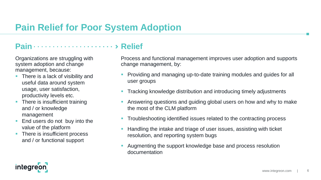# **Pain Relief for Poor System Adoption**

### Pain **Pain Pain Relief Relief Relief Relief Relief Relief Relief Relief Relief Relief Relief Relief Relief Relief Relief Relief Relief Relief Relief Relief Relief Relief Reli**

Organizations are struggling with system adoption and change management, because:

- There is a lack of visibility and useful data around system usage, user satisfaction, productivity levels etc.
- There is insufficient training and / or knowledge management
- End users do not buy into the value of the platform
- There is insufficient process and / or functional support

Process and functional management improves user adoption and supports change management, by:

- **Providing and managing up-to-date training modules and guides for all** user groups
- Tracking knowledge distribution and introducing timely adjustments
- Answering questions and guiding global users on how and why to make the most of the CLM platform
- **Troubleshooting identified issues related to the contracting process**
- Handling the intake and triage of user issues, assisting with ticket resolution, and reporting system bugs
- Augmenting the support knowledge base and process resolution documentation

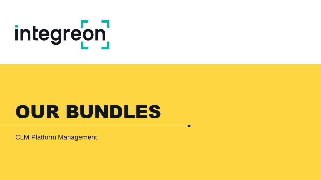# integreon

# OUR BUNDLES

CLM Platform Management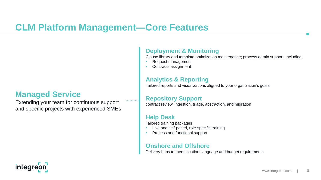# **CLM Platform Management—Core Features**

### **Managed Service**

Extending your team for continuous support and specific projects with experienced SMEs

### **Deployment & Monitoring**

Clause library and template optimization maintenance; process admin support, including:

- Request management
- Contracts assignment

### **Analytics & Reporting**

Tailored reports and visualizations aligned to your organization's goals

### **Repository Support**

contract review, ingestion, triage, abstraction, and migration

### **Help Desk**

Tailored training packages

- Live and self-paced, role-specific training
- Process and functional support

### **Onshore and Offshore**

Delivery hubs to meet location, language and budget requirements

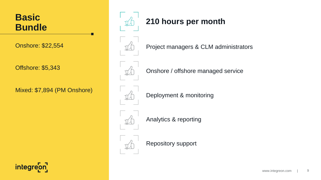## **Basic Bundle**

Onshore: \$22,554

Offshore: \$5,343

Mixed: \$7,894 (PM Onshore)







Onshore / offshore managed service

Project managers & CLM administrators



Deployment & monitoring



Analytics & reporting



Repository support

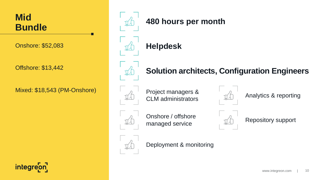

Onshore: \$52,083

Offshore: \$13,442

Mixed: \$18,543 (PM-Onshore)



### **480 hours per month**



### **Solution architects, Configuration Engineers**



Project managers & CLM administrators



Analytics & reporting



Onshore / offshore managed service



Repository support



Deployment & monitoring

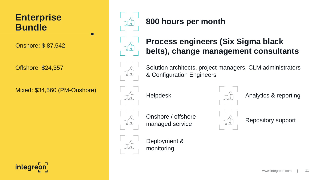## **Enterprise Bundle**

Onshore: \$ 87,542

Offshore: \$24,357

Mixed: \$34,560 (PM-Onshore)



### **800 hours per month**



### **Process engineers (Six Sigma black belts), change management consultants**



Solution architects, project managers, CLM administrators & Configuration Engineers





Helpdesk  $\eta^{\prime}$  Analytics & reporting



Onshore / offshore managed service  $\begin{array}{ccc} \downarrow & \downarrow & \downarrow \downarrow \downarrow \downarrow \end{array}$  Repository support



Deployment & monitoring



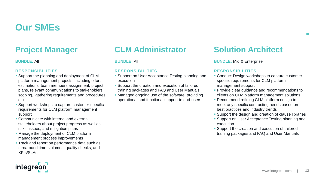# **Our SMEs**

### **Project Manager**

### **BUNDLE:** All

### **RESPONSIBILITIES**

- **Support the planning and deployment of CLM** platform management projects, including effort estimations, team members assignment, project plans, relevant communications to stakeholders, scoping, gathering requirements and procedures, etc.
- **Support workshops to capture customer-specific** requirements for CLM platform management support
- **Communicate with internal and external** stakeholders about project progress as well as risks, issues, and mitigation plans
- **Manage the deployment of CLM platform** management process improvements
- **Track and report on performance data such as** turnaround time, volumes, quality checks, and KPIs/SLAs

### **CLM Administrator**

### **BUNDLE:** All

### **RESPONSIBILITIES**

- **Support on User Acceptance Testing planning and** execution
- **Support the creation and execution of tailored** training packages and FAQ and User Manuals
- Managed ongoing use of the software, providing operational and functional support to end-users

### **Solution Architect**

### **BUNDLE:** Mid & Enterprise

### **RESPONSIBILITIES**

- **Conduct Design workshops to capture customer**specific requirements for CLM platform management support
- **Provide clear guidance and recommendations to** clients on CLM platform management solutions
- **Recommend refining CLM platform design to** meet any specific contracting needs based on best practices and industry trends
- **Support the design and creation of clause libraries**
- **Support on User Acceptance Testing planning and** execution
- **Support the creation and execution of tailored** training packages and FAQ and User Manuals

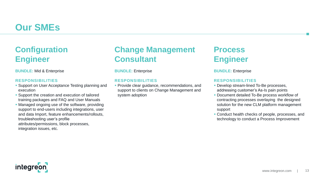# **Our SMEs**

### **Configuration Engineer**

**BUNDLE:** Mid & Enterprise

### **RESPONSIBILITIES**

- **Support on User Acceptance Testing planning and** execution
- **Support the creation and execution of tailored** training packages and FAQ and User Manuals
- Managed ongoing use of the software, providing support to end-users including integrations, user and data Import, feature enhancements/rollouts, troubleshooting user's profile attributes/permissions, block processes, integration issues, etc.

### **Change Management Consultant**

**BUNDLE:** Enterprise

### **RESPONSIBILITIES**

**Provide clear guidance, recommendations, and** support to clients on Change Management and system adoption

### **Process Engineer**

**BUNDLE:** Enterprise

### **RESPONSIBILITIES**

- **Develop stream-lined To-Be processes,** addressing customer's As-Is pain points
- **Document detailed To-Be process workflow of** contracting processes overlaying the designed solution for the new CLM platform management support
- Conduct health checks of people, processes, and technology to conduct a Process Improvement

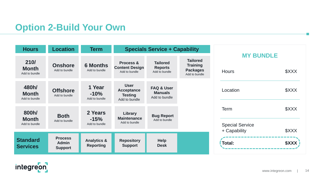# **Option 2-Build Your Own**

| <b>Hours</b>                           | <b>Location</b>                                  | Term                                       | <b>Specials Service + Capability</b>                                |                                                          |                                                                        |                                                       |                            |
|----------------------------------------|--------------------------------------------------|--------------------------------------------|---------------------------------------------------------------------|----------------------------------------------------------|------------------------------------------------------------------------|-------------------------------------------------------|----------------------------|
| 210/<br><b>Month</b><br>Add to bundle  | <b>Onshore</b><br>Add to bundle                  | <b>6 Months</b><br>Add to bundle           | <b>Process &amp;</b><br><b>Content Design</b><br>Add to bundle      | <b>Tailored</b><br><b>Reports</b><br>Add to bundle       | <b>Tailored</b><br><b>Training</b><br><b>Packages</b><br>Add to bundle | <b>MY BUNDLE</b><br><b>Hours</b>                      | <b>\$XXX</b>               |
| 480h/<br><b>Month</b><br>Add to bundle | <b>Offshore</b><br>Add to bundle                 | 1 Year<br>$-10%$<br>Add to bundle          | <b>User</b><br><b>Acceptance</b><br><b>Testing</b><br>Add to bundle | <b>FAQ &amp; User</b><br><b>Manuals</b><br>Add to bundle |                                                                        | Location                                              | \$XXX                      |
| 800h/<br><b>Month</b><br>Add to bundle | <b>Both</b><br>Add to bundle                     | 2 Years<br>$-15%$<br>Add to bundle         | Library<br><b>Maintenance</b><br>Add to bundle                      | <b>Bug Report</b><br>Add to bundle                       |                                                                        | <b>Term</b><br><b>Special Service</b><br>+ Capability | <b>\$XXX</b><br>\$XXX      |
| <b>Standard</b><br><b>Services</b>     | <b>Process</b><br><b>Admin</b><br><b>Support</b> | <b>Analytics &amp;</b><br><b>Reporting</b> | <b>Repository</b><br><b>Support</b>                                 | <b>Help</b><br><b>Desk</b>                               |                                                                        | Total:                                                | <b><i><u>\$XXX</u></i></b> |